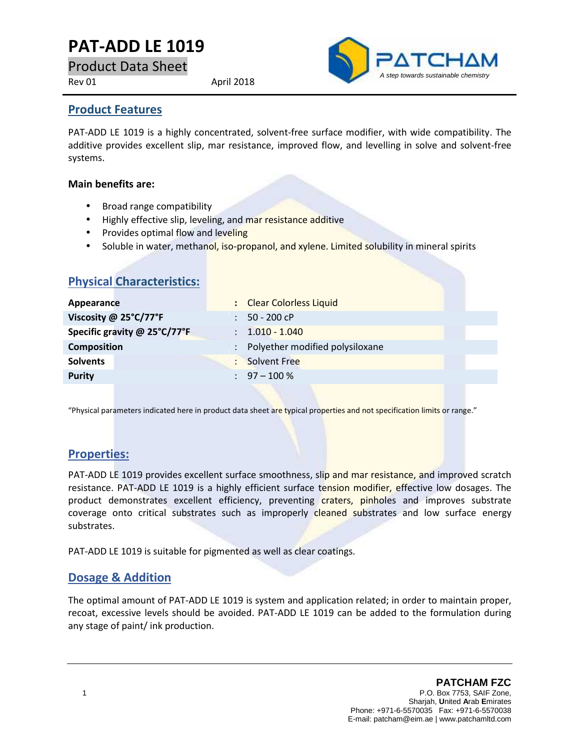# **PAT-ADD LE 1019**

Product Data Sheet

Rev 01 April 2018



#### **Product Features**

PAT-ADD LE 1019 is a highly concentrated, solvent-free surface modifier, with wide compatibility. The additive provides excellent slip, mar resistance, improved flow, and levelling in solve and solvent-free systems.

#### **Main benefits are:**

- Broad range compatibility
- Highly effective slip, leveling, and mar resistance additive
- Provides optimal flow and leveling
- Soluble in water, methanol, iso-propanol, and xylene. Limited solubility in mineral spirits

| <b>Physical Characteristics:</b> |                                                         |
|----------------------------------|---------------------------------------------------------|
| Appearance                       | : Clear Colorless Liquid                                |
| Viscosity @ 25°C/77°F            | 50 - 200 cP<br>$\mathbb{R}^n$                           |
| Specific gravity @ 25°C/77°F     | $: 1.010 - 1.040$                                       |
| <b>Composition</b>               | Polyether modified polysiloxane<br>$\ddot{\phantom{0}}$ |
| <b>Solvents</b>                  | <b>Solvent Free</b><br>÷                                |
| <b>Purity</b>                    | $\therefore$ 97 - 100 %                                 |
|                                  |                                                         |

"Physical parameters indicated here in product data sheet are typical properties and not specification limits or range."

# **Properties:**

PAT-ADD LE 1019 provides excellent surface smoothness, slip and mar resistance, and improved scratch resistance. PAT-ADD LE 1019 is a highly efficient surface tension modifier, effective low dosages. The product demonstrates excellent efficiency, preventing craters, pinholes and improves substrate coverage onto critical substrates such as improperly cleaned substrates and low surface energy substrates.

PAT-ADD LE 1019 is suitable for pigmented as well as clear coatings.

### **Dosage & Addition**

The optimal amount of PAT-ADD LE 1019 is system and application related; in order to maintain proper, recoat, excessive levels should be avoided. PAT-ADD LE 1019 can be added to the formulation during any stage of paint/ ink production.